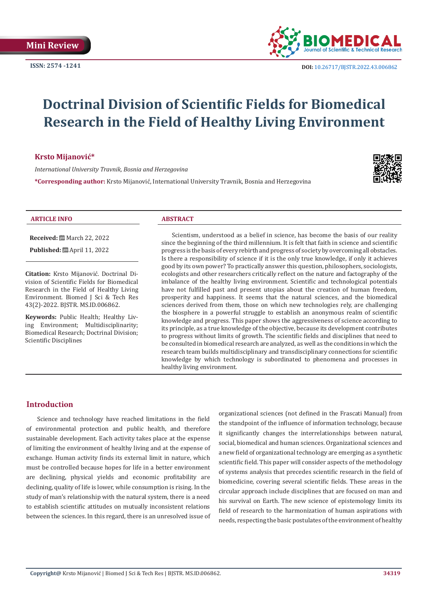

**ISSN:** 2574 -1241 **DOI:** [10.26717/BJSTR.2022.43.006862](https://dx.doi.org/10.26717/BJSTR.2022.43.006862)

# **Doctrinal Division of Scientific Fields for Biomedical Research in the Field of Healthy Living Environment**

## **Krsto Mijanović\***

*International University Travnik, Bosnia and Herzegovina*

**\*Corresponding author:** Krsto Mijanović, International University Travnik, Bosnia and Herzegovina



#### **ARTICLE INFO ABSTRACT**

**Received:** March 22, 2022

**Published:** ■ April 11, 2022

**Citation:** Krsto Mijanović. Doctrinal Division of Scientific Fields for Biomedical Research in the Field of Healthy Living Environment. Biomed J Sci & Tech Res 43(2)-2022. BJSTR. MS.ID.006862.

**Keywords:** Public Health; Healthy Living Environment; Multidisciplinarity; Biomedical Research; Doctrinal Division; Scientific Disciplines

Scientism, understood as a belief in science, has become the basis of our reality since the beginning of the third millennium. It is felt that faith in science and scientific progress is the basis of every rebirth and progress of society by overcoming all obstacles. Is there a responsibility of science if it is the only true knowledge, if only it achieves good by its own power? To practically answer this question, philosophers, sociologists, ecologists and other researchers critically reflect on the nature and factography of the imbalance of the healthy living environment. Scientific and technological potentials have not fulfilled past and present utopias about the creation of human freedom, prosperity and happiness. It seems that the natural sciences, and the biomedical sciences derived from them, those on which new technologies rely, are challenging the biosphere in a powerful struggle to establish an anonymous realm of scientific knowledge and progress. This paper shows the aggressiveness of science according to its principle, as a true knowledge of the objective, because its development contributes to progress without limits of growth. The scientific fields and disciplines that need to be consulted in biomedical research are analyzed, as well as the conditions in which the research team builds multidisciplinary and transdisciplinary connections for scientific knowledge by which technology is subordinated to phenomena and processes in healthy living environment.

# **Introduction**

Science and technology have reached limitations in the field of environmental protection and public health, and therefore sustainable development. Each activity takes place at the expense of limiting the environment of healthy living and at the expense of exchange. Human activity finds its external limit in nature, which must be controlled because hopes for life in a better environment are declining, physical yields and economic profitability are declining, quality of life is lower, while consumption is rising. In the study of man's relationship with the natural system, there is a need to establish scientific attitudes on mutually inconsistent relations between the sciences. In this regard, there is an unresolved issue of organizational sciences (not defined in the Frascati Manual) from the standpoint of the influence of information technology, because it significantly changes the interrelationships between natural, social, biomedical and human sciences. Organizational sciences and a new field of organizational technology are emerging as a synthetic scientific field. This paper will consider aspects of the methodology of systems analysis that precedes scientific research in the field of biomedicine, covering several scientific fields. These areas in the circular approach include disciplines that are focused on man and his survival on Earth. The new science of epistemology limits its field of research to the harmonization of human aspirations with needs, respecting the basic postulates of the environment of healthy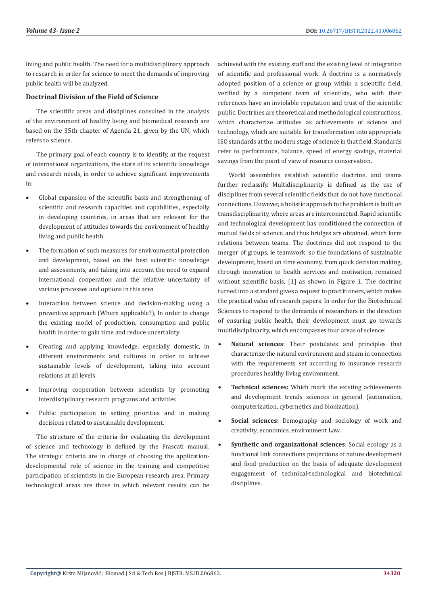living and public health. The need for a multidisciplinary approach to research in order for science to meet the demands of improving public health will be analyzed.

### **Doctrinal Division of the Field of Science**

The scientific areas and disciplines consulted in the analysis of the environment of healthy living and biomedical research are based on the 35th chapter of Agenda 21, given by the UN, which refers to science.

The primary goal of each country is to identify, at the request of international organizations, the state of its scientific knowledge and research needs, in order to achieve significant improvements in:

- • Global expansion of the scientific basis and strengthening of scientific and research capacities and capabilities, especially in developing countries, in areas that are relevant for the development of attitudes towards the environment of healthy living and public health
- The formation of such measures for environmental protection and development, based on the best scientific knowledge and assessments, and taking into account the need to expand international cooperation and the relative uncertainty of various processes and options in this area
- Interaction between science and decision-making using a preventive approach (Where applicable?), In order to change the existing model of production, consumption and public health in order to gain time and reduce uncertainty
- Creating and applying knowledge, especially domestic, in different environments and cultures in order to achieve sustainable levels of development, taking into account relations at all levels
- Improving cooperation between scientists by promoting interdisciplinary research programs and activities
- Public participation in setting priorities and in making decisions related to sustainable development.

The structure of the criteria for evaluating the development of science and technology is defined by the Frascati manual. The strategic criteria are in charge of choosing the applicationdevelopmental role of science in the training and competitive participation of scientists in the European research area. Primary technological areas are those in which relevant results can be achieved with the existing staff and the existing level of integration of scientific and professional work. A doctrine is a normatively adopted position of a science or group within a scientific field, verified by a competent team of scientists, who with their references have an inviolable reputation and trust of the scientific public. Doctrines are theoretical and methodological constructions, which characterize attitudes as achievements of science and technology, which are suitable for transformation into appropriate ISO standards at the modern stage of science in that field. Standards refer to performance, balance, speed of energy savings, material savings from the point of view of resource conservation.

World assemblies establish scientific doctrine, and teams further reclassify. Multidisciplinarity is defined as the use of disciplines from several scientific fields that do not have functional connections. However, a holistic approach to the problem is built on transdisciplinarity, where areas are interconnected. Rapid scientific and technological development has conditioned the connection of mutual fields of science, and thus bridges are obtained, which form relations between teams. The doctrines did not respond to the merger of groups, ie teamwork, so the foundations of sustainable development, based on time economy, from quick decision making, through innovation to health services and motivation, remained without scientific basis, [1] as shown in Figure 1. The doctrine turned into a standard gives a request to practitioners, which makes the practical value of research papers. In order for the Biotechnical Sciences to respond to the demands of researchers in the direction of ensuring public health, their development must go towards multidisciplinarity, which encompasses four areas of science:

- Natural sciences: Their postulates and principles that characterize the natural environment and steam in connection with the requirements set according to insurance research procedures healthy living environment.
- **Technical sciences:** Which mark the existing achievements and development trends sciences in general (automation, computerization, cybernetics and bionization).
- **Social sciences:** Demography and sociology of work and creativity, economics, environment Law.
- **Synthetic and organizational sciences**: Social ecology as a functional link connections projections of nature development and food production on the basis of adequate development engagement of technical-technological and biotechnical disciplines.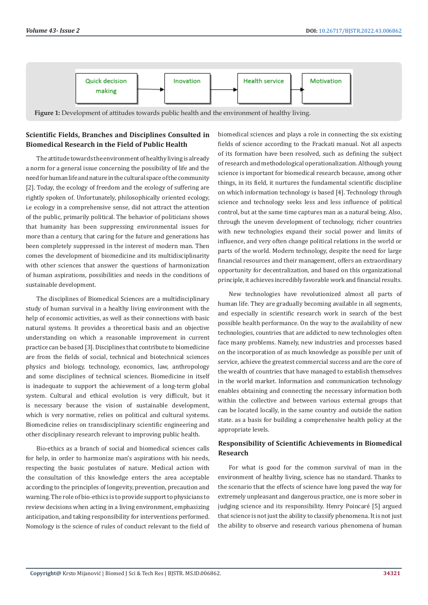

# **Scientific Fields, Branches and Disciplines Consulted in Biomedical Research in the Field of Public Health**

The attitude towards the environment of healthy living is already a norm for a general issue concerning the possibility of life and the need for human life and nature in the cultural space of the community [2]. Today, the ecology of freedom and the ecology of suffering are rightly spoken of. Unfortunately, philosophically oriented ecology, i.e ecology in a comprehensive sense, did not attract the attention of the public, primarily political. The behavior of politicians shows that humanity has been suppressing environmental issues for more than a century, that caring for the future and generations has been completely suppressed in the interest of modern man. Then comes the development of biomedicine and its multidisciplinarity with other sciences that answer the questions of harmonization of human aspirations, possibilities and needs in the conditions of sustainable development.

The disciplines of Biomedical Sciences are a multidisciplinary study of human survival in a healthy living environment with the help of economic activities, as well as their connections with basic natural systems. It provides a theoretical basis and an objective understanding on which a reasonable improvement in current practice can be based [3]. Disciplines that contribute to biomedicine are from the fields of social, technical and biotechnical sciences physics and biology, technology, economics, law, anthropology and some disciplines of technical sciences. Biomedicine in itself is inadequate to support the achievement of a long-term global system. Cultural and ethical evolution is very difficult, but it is necessary because the vision of sustainable development, which is very normative, relies on political and cultural systems. Biomedicine relies on transdisciplinary scientific engineering and other disciplinary research relevant to improving public health.

Bio-ethics as a branch of social and biomedical sciences calls for help, in order to harmonize man's aspirations with his needs, respecting the basic postulates of nature. Medical action with the consultation of this knowledge enters the area acceptable according to the principles of longevity, prevention, precaution and warning. The role of bio-ethics is to provide support to physicians to review decisions when acting in a living environment, emphasizing anticipation, and taking responsibility for interventions performed. Nomology is the science of rules of conduct relevant to the field of biomedical sciences and plays a role in connecting the six existing fields of science according to the Frackati manual. Not all aspects of its formation have been resolved, such as defining the subject of research and methodological operationalization. Although young science is important for biomedical research because, among other things, in its field, it nurtures the fundamental scientific discipline on which information technology is based [4]. Technology through science and technology seeks less and less influence of political control, but at the same time captures man as a natural being. Also, through the uneven development of technology, richer countries with new technologies expand their social power and limits of influence, and very often change political relations in the world or parts of the world. Modern technology, despite the need for large financial resources and their management, offers an extraordinary opportunity for decentralization, and based on this organizational principle, it achieves incredibly favorable work and financial results.

New technologies have revolutionized almost all parts of human life. They are gradually becoming available in all segments, and especially in scientific research work in search of the best possible health performance. On the way to the availability of new technologies, countries that are addicted to new technologies often face many problems. Namely, new industries and processes based on the incorporation of as much knowledge as possible per unit of service, achieve the greatest commercial success and are the core of the wealth of countries that have managed to establish themselves in the world market. Information and communication technology enables obtaining and connecting the necessary information both within the collective and between various external groups that can be located locally, in the same country and outside the nation state. as a basis for building a comprehensive health policy at the appropriate levels.

# **Responsibility of Scientific Achievements in Biomedical Research**

For what is good for the common survival of man in the environment of healthy living, science has no standard. Thanks to the scenario that the effects of science have long paved the way for extremely unpleasant and dangerous practice, one is more sober in judging science and its responsibility. Henry Poincaré [5] argued that science is not just the ability to classify phenomena. It is not just the ability to observe and research various phenomena of human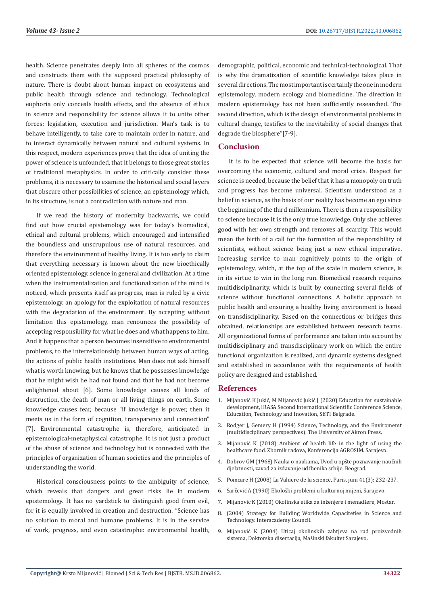health. Science penetrates deeply into all spheres of the cosmos and constructs them with the supposed practical philosophy of nature. There is doubt about human impact on ecosystems and public health through science and technology. Technological euphoria only conceals health effects, and the absence of ethics in science and responsibility for science allows it to unite other forces: legislation, execution and jurisdiction. Man's task is to behave intelligently, to take care to maintain order in nature, and to interact dynamically between natural and cultural systems. In this respect, modern experiences prove that the idea of uniting the power of science is unfounded, that it belongs to those great stories of traditional metaphysics. In order to critically consider these problems, it is necessary to examine the historical and social layers that obscure other possibilities of science, an epistemology which, in its structure, is not a contradiction with nature and man.

If we read the history of modernity backwards, we could find out how crucial epistemology was for today's biomedical, ethical and cultural problems, which encouraged and intensified the boundless and unscrupulous use of natural resources, and therefore the environment of healthy living. It is too early to claim that everything necessary is known about the new bioethically oriented epistemology, science in general and civilization. At a time when the instrumentalization and functionalization of the mind is noticed, which presents itself as progress, man is ruled by a civic epistemology, an apology for the exploitation of natural resources with the degradation of the environment. By accepting without limitation this epistemology, man renounces the possibility of accepting responsibility for what he does and what happens to him. And it happens that a person becomes insensitive to environmental problems, to the interrelationship between human ways of acting, the actions of public health institutions. Man does not ask himself what is worth knowing, but he knows that he possesses knowledge that he might wish he had not found and that he had not become enlightened about [6]. Some knowledge causes all kinds of destruction, the death of man or all living things on earth. Some knowledge causes fear, because "if knowledge is power, then it meets us in the form of cognition, transparency and connection" [7]. Environmental catastrophe is, therefore, anticipated in epistemological-metaphysical catastrophe. It is not just a product of the abuse of science and technology but is connected with the principles of organization of human societies and the principles of understanding the world.

Historical consciousness points to the ambiguity of science, which reveals that dangers and great risks lie in modern epistemology. It has no yardstick to distinguish good from evil, for it is equally involved in creation and destruction. "Science has no solution to moral and humane problems. It is in the service of work, progress, and even catastrophe: environmental health,

demographic, political, economic and technical-technological. That is why the dramatization of scientific knowledge takes place in several directions. The most important is certainly the one in modern epistemology, modern ecology and biomedicine. The direction in modern epistemology has not been sufficiently researched. The second direction, which is the design of environmental problems in cultural change, testifies to the inevitability of social changes that degrade the biosphere"[7-9].

#### **Conclusion**

It is to be expected that science will become the basis for overcoming the economic, cultural and moral crisis. Respect for science is needed, because the belief that it has a monopoly on truth and progress has become universal. Scientism understood as a belief in science, as the basis of our reality has become an ego since the beginning of the third millennium. There is then a responsibility to science because it is the only true knowledge. Only she achieves good with her own strength and removes all scarcity. This would mean the birth of a call for the formation of the responsibility of scientists, without science being just a new ethical imperative. Increasing service to man cognitively points to the origin of epistemology, which, at the top of the scale in modern science, is in its virtue to win in the long run. Biomedical research requires multidisciplinarity, which is built by connecting several fields of science without functional connections. A holistic approach to public health and ensuring a healthy living environment is based on transdisciplinarity. Based on the connections or bridges thus obtained, relationships are established between research teams. All organizational forms of performance are taken into account by multidisciplinary and transdisciplinary work on which the entire functional organization is realized, and dynamic systems designed and established in accordance with the requirements of health policy are designed and established.

#### **References**

- 1. Mijanović K Jukić, M Mijanović Jukić J (2020) Education for sustainable development, IRASA Second International Scientific Conference Science, Education, Technology and Inovation, SETI Belgrade.
- 2. Rodger J, Gemery H (1994) Science, Technology, and the Enviromemt (multidisciplinary perspectives). The University of Akron Press.
- 3. Mijanović K (2018) Ambient of health life in the light of using the healthcare food. Zbornik radova, Konferencija AGROSIM. Sarajevo.
- 4. Dobrov GM (1968) Nauka o naukama, Uvod u opšte poznavanje naučnih djelatnosti, zavod za izdavanje udžbenika srbije, Beograd.
- 5. Poincare H (2008) La Valuere de la science, Paris, juni 41(3): 232-237.
- 6. Šarčević A (1990) Ekološki problemi u kulturnoj mijeni, Sarajevo.
- 7. Mijanovic K (2010) Okolinska etika za inženjere i menadžere, Mostar.
- 8. (2004) Strategy for Building Worldwide Capaciteties in Science and Technology. Interacademy Council.
- 9. Mijanović K (2004) Uticaj okolinskih zahtjeva na rad proizvodnih sistema, Doktorska disertacija, Mašinski fakultet Sarajevo.